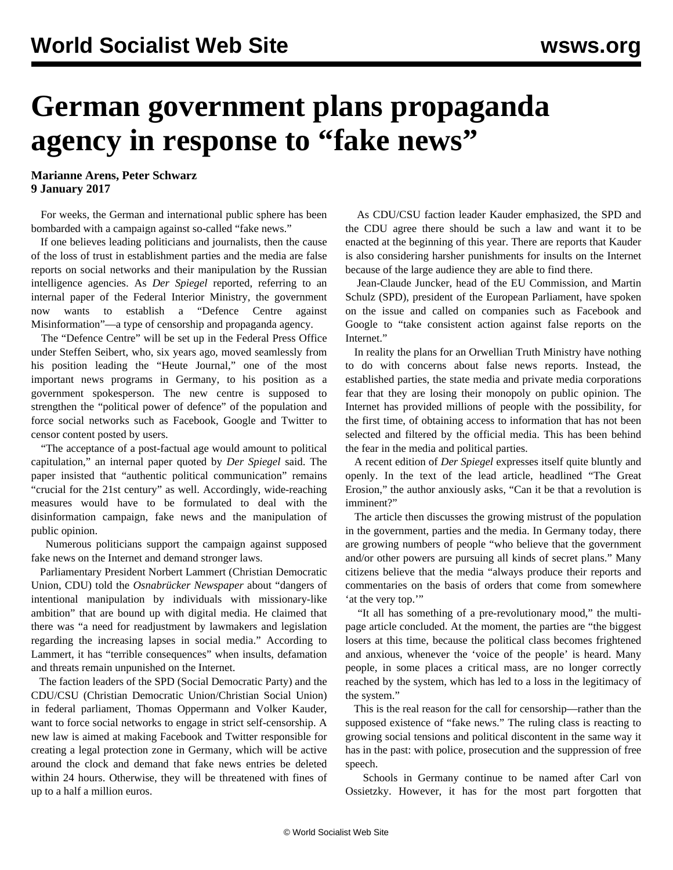## **German government plans propaganda agency in response to "fake news"**

**Marianne Arens, Peter Schwarz 9 January 2017**

 For weeks, the German and international public sphere has been bombarded with a campaign against so-called "fake news."

 If one believes leading politicians and journalists, then the cause of the loss of trust in establishment parties and the media are false reports on social networks and their manipulation by the Russian intelligence agencies. As *Der Spiegel* reported, referring to an internal paper of the Federal Interior Ministry, the government now wants to establish a "Defence Centre against Misinformation"—a type of censorship and propaganda agency.

 The "Defence Centre" will be set up in the Federal Press Office under Steffen Seibert, who, six years ago, moved seamlessly from his position leading the "Heute Journal," one of the most important news programs in Germany, to his position as a government spokesperson. The new centre is supposed to strengthen the "political power of defence" of the population and force social networks such as Facebook, Google and Twitter to censor content posted by users.

 "The acceptance of a post-factual age would amount to political capitulation," an internal paper quoted by *Der Spiegel* said. The paper insisted that "authentic political communication" remains "crucial for the 21st century" as well. Accordingly, wide-reaching measures would have to be formulated to deal with the disinformation campaign, fake news and the manipulation of public opinion.

 Numerous politicians support the campaign against supposed fake news on the Internet and demand stronger laws.

 Parliamentary President Norbert Lammert (Christian Democratic Union, CDU) told the *Osnabrücker Newspaper* about "dangers of intentional manipulation by individuals with missionary-like ambition" that are bound up with digital media. He claimed that there was "a need for readjustment by lawmakers and legislation regarding the increasing lapses in social media." According to Lammert, it has "terrible consequences" when insults, defamation and threats remain unpunished on the Internet.

 The faction leaders of the SPD (Social Democratic Party) and the CDU/CSU (Christian Democratic Union/Christian Social Union) in federal parliament, Thomas Oppermann and Volker Kauder, want to force social networks to engage in strict self-censorship. A new law is aimed at making Facebook and Twitter responsible for creating a legal protection zone in Germany, which will be active around the clock and demand that fake news entries be deleted within 24 hours. Otherwise, they will be threatened with fines of up to a half a million euros.

 As CDU/CSU faction leader Kauder emphasized, the SPD and the CDU agree there should be such a law and want it to be enacted at the beginning of this year. There are reports that Kauder is also considering harsher punishments for insults on the Internet because of the large audience they are able to find there.

 Jean-Claude Juncker, head of the EU Commission, and Martin Schulz (SPD), president of the European Parliament, have spoken on the issue and called on companies such as Facebook and Google to "take consistent action against false reports on the Internet."

 In reality the plans for an Orwellian Truth Ministry have nothing to do with concerns about false news reports. Instead, the established parties, the state media and private media corporations fear that they are losing their monopoly on public opinion. The Internet has provided millions of people with the possibility, for the first time, of obtaining access to information that has not been selected and filtered by the official media. This has been behind the fear in the media and political parties.

 A recent edition of *Der Spiegel* expresses itself quite bluntly and openly. In the text of the lead article, headlined "The Great Erosion," the author anxiously asks, "Can it be that a revolution is imminent?"

 The article then discusses the growing mistrust of the population in the government, parties and the media. In Germany today, there are growing numbers of people "who believe that the government and/or other powers are pursuing all kinds of secret plans." Many citizens believe that the media "always produce their reports and commentaries on the basis of orders that come from somewhere 'at the very top."

 "It all has something of a pre-revolutionary mood," the multipage article concluded. At the moment, the parties are "the biggest losers at this time, because the political class becomes frightened and anxious, whenever the 'voice of the people' is heard. Many people, in some places a critical mass, are no longer correctly reached by the system, which has led to a loss in the legitimacy of the system."

 This is the real reason for the call for censorship—rather than the supposed existence of "fake news." The ruling class is reacting to growing social tensions and political discontent in the same way it has in the past: with police, prosecution and the suppression of free speech.

 Schools in Germany continue to be named after Carl von Ossietzky. However, it has for the most part forgotten that